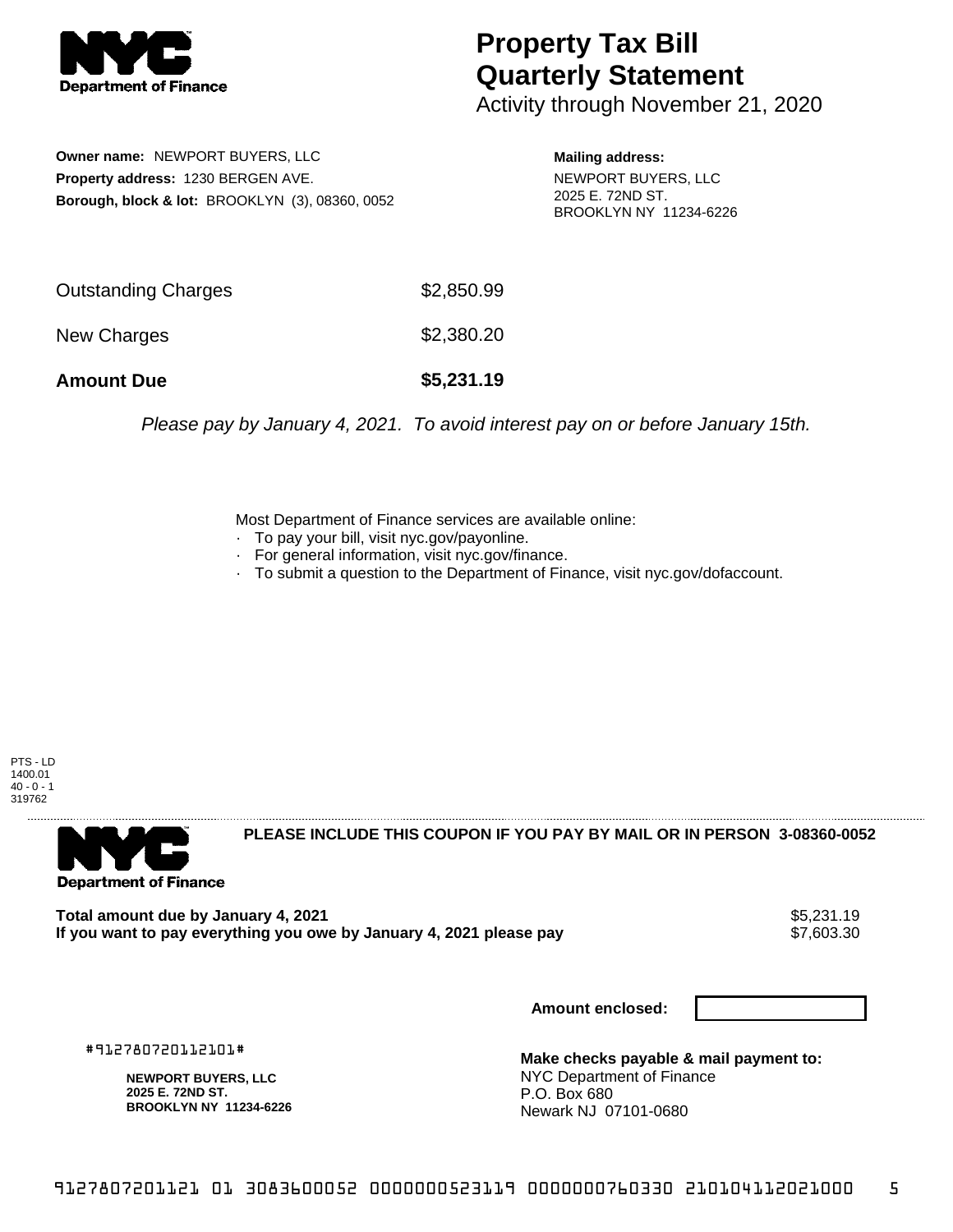

## **Property Tax Bill Quarterly Statement**

Activity through November 21, 2020

**Owner name:** NEWPORT BUYERS, LLC **Property address:** 1230 BERGEN AVE. **Borough, block & lot:** BROOKLYN (3), 08360, 0052

**Mailing address:** NEWPORT BUYERS, LLC 2025 E. 72ND ST. BROOKLYN NY 11234-6226

| <b>Amount Due</b>   | \$5,231.19 |
|---------------------|------------|
| New Charges         | \$2,380.20 |
| Outstanding Charges | \$2,850.99 |

Please pay by January 4, 2021. To avoid interest pay on or before January 15th.

Most Department of Finance services are available online:

- · To pay your bill, visit nyc.gov/payonline.
- For general information, visit nyc.gov/finance.
- · To submit a question to the Department of Finance, visit nyc.gov/dofaccount.

PTS - LD 1400.01  $40 - 0 - 1$ 319762



**PLEASE INCLUDE THIS COUPON IF YOU PAY BY MAIL OR IN PERSON 3-08360-0052** 

**Total amount due by January 4, 2021**<br>If you want to pay everything you owe by January 4, 2021 please pay **show that the same of the set of the s**7,603.30 If you want to pay everything you owe by January 4, 2021 please pay

**Amount enclosed:**

#912780720112101#

**NEWPORT BUYERS, LLC 2025 E. 72ND ST. BROOKLYN NY 11234-6226**

**Make checks payable & mail payment to:** NYC Department of Finance P.O. Box 680 Newark NJ 07101-0680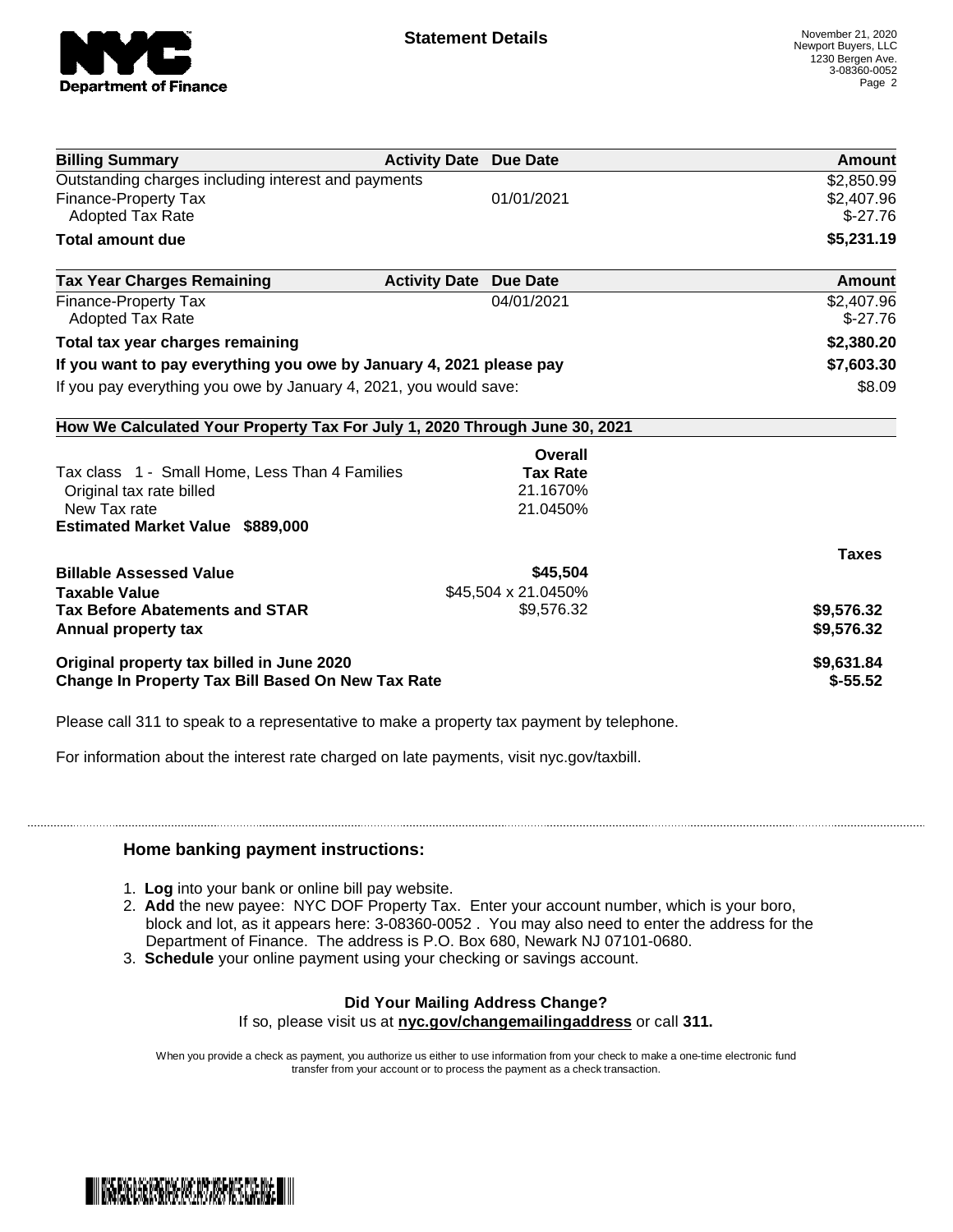

| <b>Billing Summary</b>                                                     | <b>Activity Date Due Date</b>           | Amount       |
|----------------------------------------------------------------------------|-----------------------------------------|--------------|
| Outstanding charges including interest and payments                        |                                         | \$2,850.99   |
| Finance-Property Tax                                                       | 01/01/2021                              | \$2,407.96   |
| Adopted Tax Rate                                                           |                                         | $$-27.76$    |
| <b>Total amount due</b>                                                    |                                         | \$5,231.19   |
| <b>Tax Year Charges Remaining</b>                                          | <b>Activity Date</b><br><b>Due Date</b> | Amount       |
| Finance-Property Tax                                                       | 04/01/2021                              | \$2,407.96   |
| <b>Adopted Tax Rate</b>                                                    |                                         | $$-27.76$    |
| Total tax year charges remaining                                           |                                         | \$2,380.20   |
| If you want to pay everything you owe by January 4, 2021 please pay        |                                         | \$7,603.30   |
| If you pay everything you owe by January 4, 2021, you would save:          |                                         | \$8.09       |
| How We Calculated Your Property Tax For July 1, 2020 Through June 30, 2021 |                                         |              |
|                                                                            | Overall                                 |              |
| Tax class 1 - Small Home, Less Than 4 Families                             | <b>Tax Rate</b>                         |              |
| Original tax rate billed                                                   | 21.1670%                                |              |
| New Tax rate                                                               | 21.0450%                                |              |
| <b>Estimated Market Value \$889,000</b>                                    |                                         |              |
|                                                                            |                                         | <b>Taxes</b> |
| <b>Billable Assessed Value</b>                                             | \$45,504                                |              |
| <b>Taxable Value</b>                                                       | \$45,504 x 21.0450%                     |              |
| <b>Tax Before Abatements and STAR</b>                                      | \$9,576.32                              | \$9,576.32   |
| Annual property tax                                                        |                                         | \$9,576.32   |
| Original property tax billed in June 2020                                  |                                         | \$9,631.84   |
| <b>Change In Property Tax Bill Based On New Tax Rate</b>                   |                                         | $$-55.52$    |

Please call 311 to speak to a representative to make a property tax payment by telephone.

For information about the interest rate charged on late payments, visit nyc.gov/taxbill.

## **Home banking payment instructions:**

- 1. **Log** into your bank or online bill pay website.
- 2. **Add** the new payee: NYC DOF Property Tax. Enter your account number, which is your boro, block and lot, as it appears here: 3-08360-0052 . You may also need to enter the address for the Department of Finance. The address is P.O. Box 680, Newark NJ 07101-0680.
- 3. **Schedule** your online payment using your checking or savings account.

## **Did Your Mailing Address Change?**

If so, please visit us at **nyc.gov/changemailingaddress** or call **311.**

When you provide a check as payment, you authorize us either to use information from your check to make a one-time electronic fund transfer from your account or to process the payment as a check transaction.